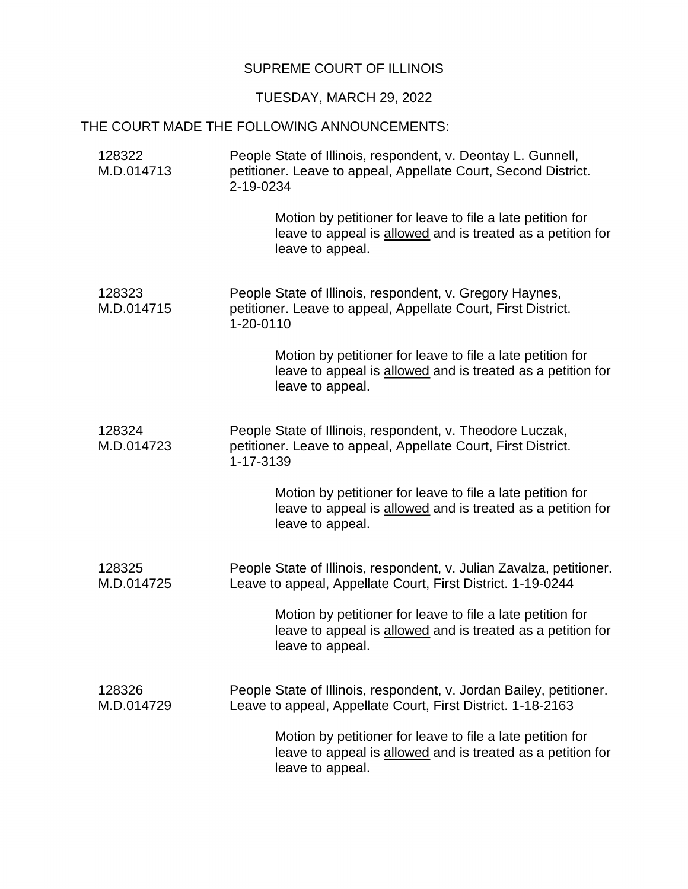## SUPREME COURT OF ILLINOIS

## TUESDAY, MARCH 29, 2022

## THE COURT MADE THE FOLLOWING ANNOUNCEMENTS:

| 128322<br>M.D.014713 | People State of Illinois, respondent, v. Deontay L. Gunnell,<br>petitioner. Leave to appeal, Appellate Court, Second District.<br>2-19-0234   |
|----------------------|-----------------------------------------------------------------------------------------------------------------------------------------------|
|                      | Motion by petitioner for leave to file a late petition for<br>leave to appeal is allowed and is treated as a petition for<br>leave to appeal. |
| 128323<br>M.D.014715 | People State of Illinois, respondent, v. Gregory Haynes,<br>petitioner. Leave to appeal, Appellate Court, First District.<br>1-20-0110        |
|                      | Motion by petitioner for leave to file a late petition for<br>leave to appeal is allowed and is treated as a petition for<br>leave to appeal. |
| 128324<br>M.D.014723 | People State of Illinois, respondent, v. Theodore Luczak,<br>petitioner. Leave to appeal, Appellate Court, First District.<br>1-17-3139       |
|                      | Motion by petitioner for leave to file a late petition for<br>leave to appeal is allowed and is treated as a petition for<br>leave to appeal. |
| 128325<br>M.D.014725 | People State of Illinois, respondent, v. Julian Zavalza, petitioner.<br>Leave to appeal, Appellate Court, First District. 1-19-0244           |
|                      | Motion by petitioner for leave to file a late petition for<br>leave to appeal is allowed and is treated as a petition for<br>leave to appeal. |
| 128326<br>M.D.014729 | People State of Illinois, respondent, v. Jordan Bailey, petitioner.<br>Leave to appeal, Appellate Court, First District. 1-18-2163            |
|                      | Motion by petitioner for leave to file a late petition for<br>leave to appeal is allowed and is treated as a petition for<br>leave to appeal. |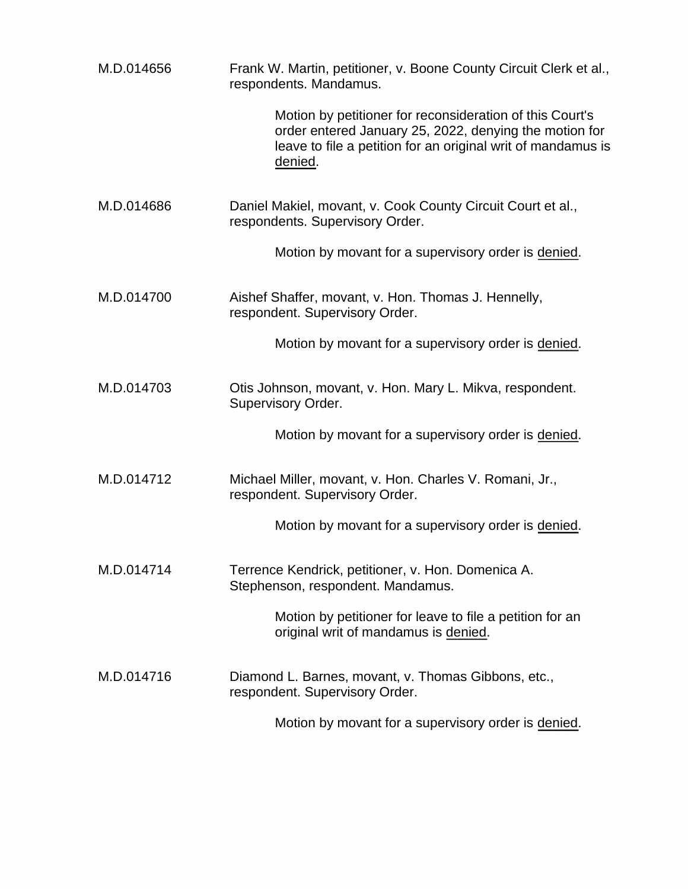| M.D.014656 | Frank W. Martin, petitioner, v. Boone County Circuit Clerk et al.,<br>respondents. Mandamus.                                                                                                  |
|------------|-----------------------------------------------------------------------------------------------------------------------------------------------------------------------------------------------|
|            | Motion by petitioner for reconsideration of this Court's<br>order entered January 25, 2022, denying the motion for<br>leave to file a petition for an original writ of mandamus is<br>denied. |
| M.D.014686 | Daniel Makiel, movant, v. Cook County Circuit Court et al.,<br>respondents. Supervisory Order.                                                                                                |
|            | Motion by movant for a supervisory order is denied.                                                                                                                                           |
| M.D.014700 | Aishef Shaffer, movant, v. Hon. Thomas J. Hennelly,<br>respondent. Supervisory Order.                                                                                                         |
|            | Motion by movant for a supervisory order is denied.                                                                                                                                           |
| M.D.014703 | Otis Johnson, movant, v. Hon. Mary L. Mikva, respondent.<br>Supervisory Order.                                                                                                                |
|            | Motion by movant for a supervisory order is denied.                                                                                                                                           |
| M.D.014712 | Michael Miller, movant, v. Hon. Charles V. Romani, Jr.,<br>respondent. Supervisory Order.                                                                                                     |
|            | Motion by movant for a supervisory order is denied.                                                                                                                                           |
| M.D.014714 | Terrence Kendrick, petitioner, v. Hon. Domenica A.<br>Stephenson, respondent. Mandamus.                                                                                                       |
|            | Motion by petitioner for leave to file a petition for an<br>original writ of mandamus is denied.                                                                                              |
| M.D.014716 | Diamond L. Barnes, movant, v. Thomas Gibbons, etc.,<br>respondent. Supervisory Order.                                                                                                         |
|            | Motion by movant for a supervisory order is denied.                                                                                                                                           |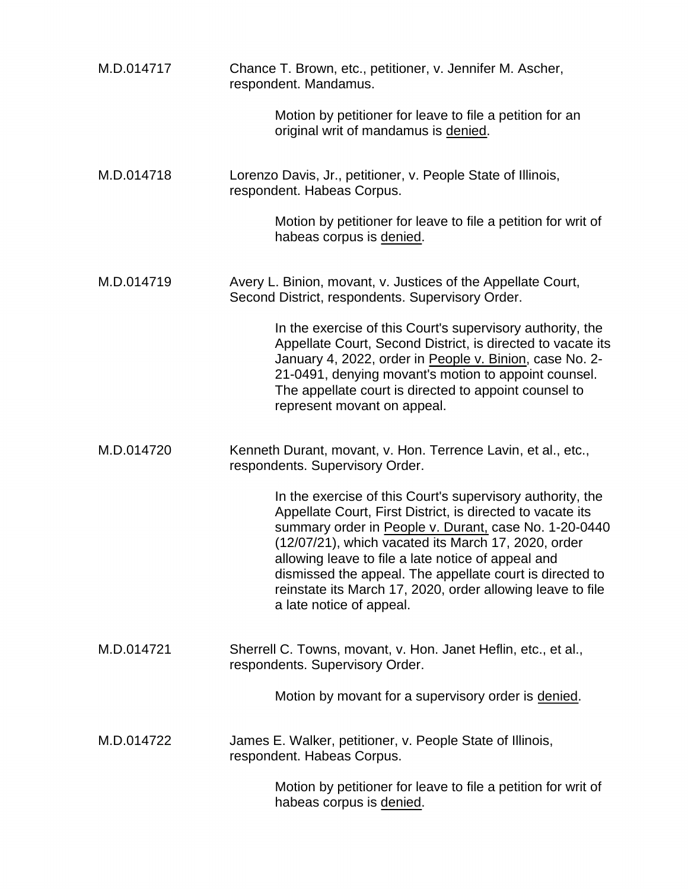| M.D.014717 | Chance T. Brown, etc., petitioner, v. Jennifer M. Ascher,<br>respondent. Mandamus.                                                                                                                                                                                                                                                                                                                                                                   |
|------------|------------------------------------------------------------------------------------------------------------------------------------------------------------------------------------------------------------------------------------------------------------------------------------------------------------------------------------------------------------------------------------------------------------------------------------------------------|
|            | Motion by petitioner for leave to file a petition for an<br>original writ of mandamus is denied.                                                                                                                                                                                                                                                                                                                                                     |
| M.D.014718 | Lorenzo Davis, Jr., petitioner, v. People State of Illinois,<br>respondent. Habeas Corpus.                                                                                                                                                                                                                                                                                                                                                           |
|            | Motion by petitioner for leave to file a petition for writ of<br>habeas corpus is denied.                                                                                                                                                                                                                                                                                                                                                            |
| M.D.014719 | Avery L. Binion, movant, v. Justices of the Appellate Court,<br>Second District, respondents. Supervisory Order.                                                                                                                                                                                                                                                                                                                                     |
|            | In the exercise of this Court's supervisory authority, the<br>Appellate Court, Second District, is directed to vacate its<br>January 4, 2022, order in People v. Binion, case No. 2-<br>21-0491, denying movant's motion to appoint counsel.<br>The appellate court is directed to appoint counsel to<br>represent movant on appeal.                                                                                                                 |
| M.D.014720 | Kenneth Durant, movant, v. Hon. Terrence Lavin, et al., etc.,<br>respondents. Supervisory Order.                                                                                                                                                                                                                                                                                                                                                     |
|            | In the exercise of this Court's supervisory authority, the<br>Appellate Court, First District, is directed to vacate its<br>summary order in People v. Durant, case No. 1-20-0440<br>(12/07/21), which vacated its March 17, 2020, order<br>allowing leave to file a late notice of appeal and<br>dismissed the appeal. The appellate court is directed to<br>reinstate its March 17, 2020, order allowing leave to file<br>a late notice of appeal. |
| M.D.014721 | Sherrell C. Towns, movant, v. Hon. Janet Heflin, etc., et al.,<br>respondents. Supervisory Order.                                                                                                                                                                                                                                                                                                                                                    |
|            | Motion by movant for a supervisory order is denied.                                                                                                                                                                                                                                                                                                                                                                                                  |
| M.D.014722 | James E. Walker, petitioner, v. People State of Illinois,<br>respondent. Habeas Corpus.                                                                                                                                                                                                                                                                                                                                                              |
|            | Motion by petitioner for leave to file a petition for writ of<br>habeas corpus is denied.                                                                                                                                                                                                                                                                                                                                                            |